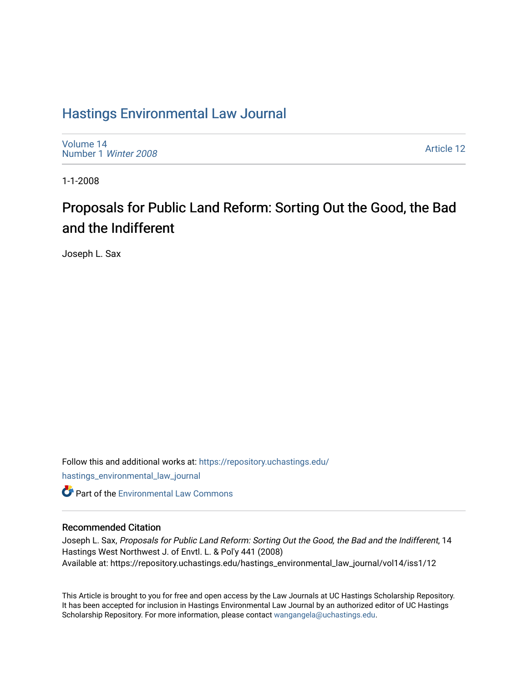# [Hastings Environmental Law Journal](https://repository.uchastings.edu/hastings_environmental_law_journal)

[Volume 14](https://repository.uchastings.edu/hastings_environmental_law_journal/vol14) [Number 1](https://repository.uchastings.edu/hastings_environmental_law_journal/vol14/iss1) Winter 2008

[Article 12](https://repository.uchastings.edu/hastings_environmental_law_journal/vol14/iss1/12) 

1-1-2008

# Proposals for Public Land Reform: Sorting Out the Good, the Bad and the Indifferent

Joseph L. Sax

Follow this and additional works at: [https://repository.uchastings.edu/](https://repository.uchastings.edu/hastings_environmental_law_journal?utm_source=repository.uchastings.edu%2Fhastings_environmental_law_journal%2Fvol14%2Fiss1%2F12&utm_medium=PDF&utm_campaign=PDFCoverPages) [hastings\\_environmental\\_law\\_journal](https://repository.uchastings.edu/hastings_environmental_law_journal?utm_source=repository.uchastings.edu%2Fhastings_environmental_law_journal%2Fvol14%2Fiss1%2F12&utm_medium=PDF&utm_campaign=PDFCoverPages)  **C** Part of the [Environmental Law Commons](http://network.bepress.com/hgg/discipline/599?utm_source=repository.uchastings.edu%2Fhastings_environmental_law_journal%2Fvol14%2Fiss1%2F12&utm_medium=PDF&utm_campaign=PDFCoverPages)

### Recommended Citation

Joseph L. Sax, Proposals for Public Land Reform: Sorting Out the Good, the Bad and the Indifferent, 14 Hastings West Northwest J. of Envtl. L. & Pol'y 441 (2008) Available at: https://repository.uchastings.edu/hastings\_environmental\_law\_journal/vol14/iss1/12

This Article is brought to you for free and open access by the Law Journals at UC Hastings Scholarship Repository. It has been accepted for inclusion in Hastings Environmental Law Journal by an authorized editor of UC Hastings Scholarship Repository. For more information, please contact [wangangela@uchastings.edu.](mailto:wangangela@uchastings.edu)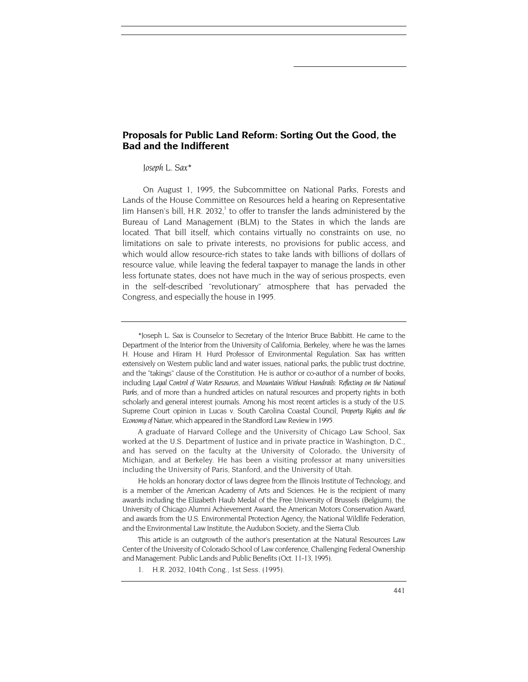## **Proposals for Public Land Reform: Sorting Out the Good, the Bad and the Indifferent**

#### *Joseph L. Sax\**

On August 1, 1995, the Subcommittee on National Parks, Forests and Lands of the House Committee on Resources held a hearing on Representative Jim Hansen's bill, H.R. 2032, $^1$  to offer to transfer the lands administered by the Bureau of Land Management (BLM) to the States in which the lands are located. That bill itself, which contains virtually no constraints on use, no limitations on sale to private interests, no provisions for public access, and which would allow resource-rich states to take lands with billions of dollars of resource value, while leaving the federal taxpayer to manage the lands in other less fortunate states, does not have much in the way of serious prospects, even in the self-described "revolutionary" atmosphere that has pervaded the Congress, and especially the house in 1995.

A graduate of Harvard College and the University of Chicago Law School, Sax worked at the U.S. Department of Justice and in private practice in Washington, D.C., and has served on the faculty at the University of Colorado, the University of Michigan, and at Berkeley. He has been a visiting professor at many universities including the University of Paris, Stanford, and the University of Utah.

He holds an honorary doctor of laws degree from the Illinois Institute of Technology, and is a member of the American Academy of Arts and Sciences. He is the recipient of many awards including the Elizabeth Haub Medal of the Free University of Brussels (Belgium), the University of Chicago Alumni Achievement Award, the American Motors Conservation Award, and awards from the U.S. Environmental Protection Agency, the National Wildlife Federation, and the Environmental Law Institute, the Audubon Society, and the Sierra Club.

This article is an outgrowth of the author's presentation at the Natural Resources Law Center of the University of Colorado School of Law conference, Challenging Federal Ownership and Management: Public Lands and Public Benefits (Oct. 11-13, 1995).

1. H.R. 2032, 104th Cong., 1st Sess. (1995).

<span id="page-1-0"></span><sup>\*</sup>Joseph L. Sax is Counselor to Secretary of the Interior Bruce Babbitt. He came to the Department of the Interior from the University of California, Berkeley, where he was the James H. House and Hiram H. Hurd Professor of Environmental Regulation. Sax has written extensively on Western public land and water issues, national parks, the public trust doctrine, and the "takings" clause of the Constitution. He is author or co-author of a number of books, including *Legal Control of Water Resources,* and *Mountains Without Handrails: Reflecting on the National Parks*, and of more than a hundred articles on natural resources and property rights in both scholarly and general interest journals. Among his most recent articles is a study of the U.S. Supreme Court opinion in Lucas v. South Carolina Coastal Council, *Property Rights and the Economy of Nature*, which appeared in the Standford Law Review in 1995.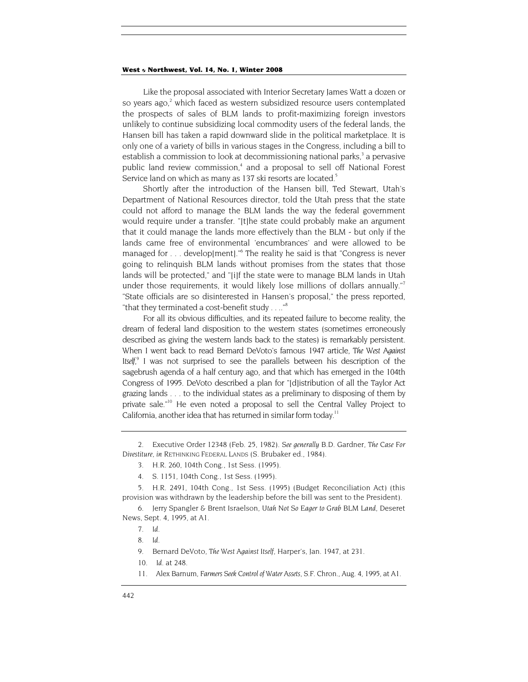Like the proposal associated with Interior Secretary James Watt a dozen or so years ago,<sup>[2](#page-2-0)</sup> which faced as western subsidized resource users contemplated the prospects of sales of BLM lands to profit-maximizing foreign investors unlikely to continue subsidizing local commodity users of the federal lands, the Hansen bill has taken a rapid downward slide in the political marketplace. It is only one of a variety of bills in various stages in the Congress, including a bill to establish a commission to look at decommissioning national parks,<sup>3</sup> a pervasive public land review commission,<sup>4</sup> and a proposal to sell off National Forest Service land on which as many as 137 ski resorts are located.<sup>5</sup>

Shortly after the introduction of the Hansen bill, Ted Stewart, Utah's Department of National Resources director, told the Utah press that the state could not afford to manage the BLM lands the way the federal government would require under a transfer. "[t]he state could probably make an argument that it could manage the lands more effectively than the BLM - but only if the lands came free of environmental 'encumbrances' and were allowed to be managed for . . . develop[ment]."<sup>6</sup> The reality he said is that "Congress is never going to relinquish BLM lands without promises from the states that those lands will be protected," and "[i]f the state were to manage BLM lands in Utah under those requirements, it would likely lose millions of dollars annually.["7](#page-2-5) "State officials are so disinterested in Hansen's proposal," the press reported, "that they terminated a cost-benefit study . . .."<sup>8</sup>

For all its obvious difficulties, and its repeated failure to become reality, the dream of federal land disposition to the western states (sometimes erroneously described as giving the western lands back to the states) is remarkably persistent. When I went back to read Bernard DeVoto's famous 1947 article, *The West Against*  Itself,<sup>[9](#page-2-7)</sup> I was not surprised to see the parallels between his description of the sagebrush agenda of a half century ago, and that which has emerged in the 104th Congress of 1995. DeVoto described a plan for "[d]istribution of all the Taylor Act grazing lands . . . to the individual states as a preliminary to disposing of them by private sale."<sup>10</sup> He even noted a proposal to sell the Central Valley Project to California, another idea that has returned in similar form today.<sup>11</sup>

<span id="page-2-0"></span><sup>2.</sup> Executive Order 12348 (Feb. 25, 1982). *See generally* B.D. Gardner, *The Case For Divestiture, in* RETHINKING FEDERAL LANDS (S. Brubaker ed., 1984).

<span id="page-2-1"></span><sup>3.</sup> H.R. 260, 104th Cong., 1st Sess. (1995).

<sup>4.</sup> S. 1151, 104th Cong., 1st Sess. (1995).

<span id="page-2-3"></span><span id="page-2-2"></span><sup>5.</sup> H.R. 2491, 104th Cong., 1st Sess. (1995) (Budget Reconciliation Act) (this provision was withdrawn by the leadership before the bill was sent to the President).

<span id="page-2-4"></span><sup>6.</sup> Jerry Spangler & Brent Israelson, *Utah Not So Eager to Grab BLM Land*, Deseret News, Sept. 4, 1995, at A1.

<span id="page-2-5"></span><sup>7</sup>*. Id.*

<span id="page-2-6"></span><sup>8</sup>*. Id.*

<span id="page-2-7"></span><sup>9.</sup> Bernard DeVoto, *The West Against Itself*, Harper's, Jan. 1947, at 231.

<span id="page-2-8"></span><sup>10</sup>*. Id.* at 248.

<span id="page-2-9"></span><sup>11.</sup> Alex Barnum, *Farmers Seek Control of Water Assets*, S.F. Chron., Aug. 4, 1995, at A1.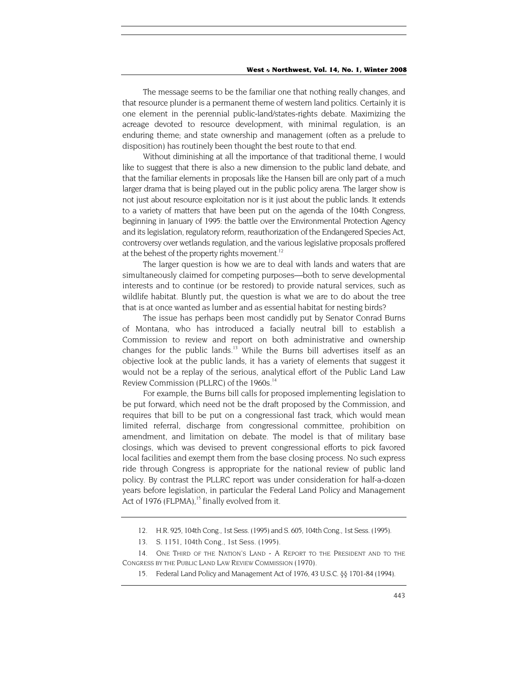The message seems to be the familiar one that nothing really changes, and that resource plunder is a permanent theme of western land politics. Certainly it is one element in the perennial public-land/states-rights debate. Maximizing the acreage devoted to resource development, with minimal regulation, is an enduring theme; and state ownership and management (often as a prelude to disposition) has routinely been thought the best route to that end.

Without diminishing at all the importance of that traditional theme, I would like to suggest that there is also a new dimension to the public land debate, and that the familiar elements in proposals like the Hansen bill are only part of a much larger drama that is being played out in the public policy arena. The larger show is not just about resource exploitation nor is it just about the public lands. It extends to a variety of matters that have been put on the agenda of the 104th Congress, beginning in January of 1995: the battle over the Environmental Protection Agency and its legislation, regulatory reform, reauthorization of the Endangered Species Act, controversy over wetlands regulation, and the various legislative proposals proffered at the behest of the property rights movement.<sup>12</sup>

The larger question is how we are to deal with lands and waters that are simultaneously claimed for competing purposes—both to serve developmental interests and to continue (or be restored) to provide natural services, such as wildlife habitat. Bluntly put, the question is what we are to do about the tree that is at once wanted as lumber and as essential habitat for nesting birds?

The issue has perhaps been most candidly put by Senator Conrad Burns of Montana, who has introduced a facially neutral bill to establish a Commission to review and report on both administrative and ownership changes for the public lands.<sup>13</sup> While the Burns bill advertises itself as an objective look at the public lands, it has a variety of elements that suggest it would not be a replay of the serious, analytical effort of the Public Land Law Review Commission (PLLRC) of the 1960s.<sup>14</sup>

For example, the Burns bill calls for proposed implementing legislation to be put forward, which need not be the draft proposed by the Commission, and requires that bill to be put on a congressional fast track, which would mean limited referral, discharge from congressional committee, prohibition on amendment, and limitation on debate. The model is that of military base closings, which was devised to prevent congressional efforts to pick favored local facilities and exempt them from the base closing process. No such express ride through Congress is appropriate for the national review of public land policy. By contrast the PLLRC report was under consideration for half-a-dozen years before legislation, in particular the Federal Land Policy and Management Act of 1976 (FLPMA), $15$  finally evolved from it.

<span id="page-3-0"></span><sup>12.</sup> H.R. 925, 104th Cong., 1st Sess. (1995) and S. 605, 104th Cong., 1st Sess. (1995).

<sup>13.</sup> S. 1151, 104th Cong., 1st Sess. (1995).

<span id="page-3-2"></span><span id="page-3-1"></span><sup>14.</sup> ONE THIRD OF THE NATION'S LAND - A REPORT TO THE PRESIDENT AND TO THE CONGRESS BY THE PUBLIC LAND LAW REVIEW COMMISSION (1970).

<span id="page-3-3"></span><sup>15.</sup> Federal Land Policy and Management Act of 1976, 43 U.S.C. §§ 1701-84 (1994).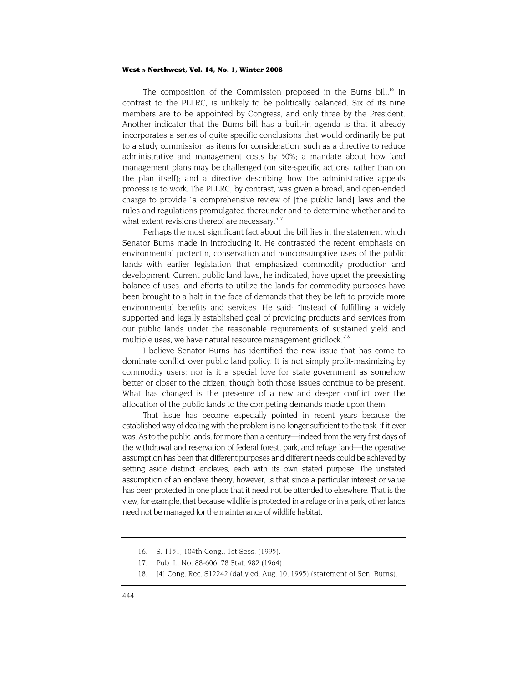The composition of the Commission proposed in the Burns bill,<sup>16</sup> in contrast to the PLLRC, is unlikely to be politically balanced. Six of its nine members are to be appointed by Congress, and only three by the President. Another indicator that the Burns bill has a built-in agenda is that it already incorporates a series of quite specific conclusions that would ordinarily be put to a study commission as items for consideration, such as a directive to reduce administrative and management costs by 50%; a mandate about how land management plans may be challenged (on site-specific actions, rather than on the plan itself); and a directive describing how the administrative appeals process is to work. The PLLRC, by contrast, was given a broad, and open-ended charge to provide "a comprehensive review of [the public land] laws and the rules and regulations promulgated thereunder and to determine whether and to what extent revisions thereof are necessary."<sup>[17](#page-4-1)</sup>

Perhaps the most significant fact about the bill lies in the statement which Senator Burns made in introducing it. He contrasted the recent emphasis on environmental protectin, conservation and nonconsumptive uses of the public lands with earlier legislation that emphasized commodity production and development. Current public land laws, he indicated, have upset the preexisting balance of uses, and efforts to utilize the lands for commodity purposes have been brought to a halt in the face of demands that they be left to provide more environmental benefits and services. He said: "Instead of fulfilling a widely supported and legally established goal of providing products and services from our public lands under the reasonable requirements of sustained yield and multiple uses, we have natural resource management gridlock."<sup>18</sup>

I believe Senator Burns has identified the new issue that has come to dominate conflict over public land policy. It is not simply profit-maximizing by commodity users; nor is it a special love for state government as somehow better or closer to the citizen, though both those issues continue to be present. What has changed is the presence of a new and deeper conflict over the allocation of the public lands to the competing demands made upon them.

That issue has become especially pointed in recent years because the established way of dealing with the problem is no longer sufficient to the task, if it ever was. As to the public lands, for more than a century—indeed from the very first days of the withdrawal and reservation of federal forest, park, and refuge land—the operative assumption has been that different purposes and different needs could be achieved by setting aside distinct enclaves, each with its own stated purpose. The unstated assumption of an enclave theory, however, is that since a particular interest or value has been protected in one place that it need not be attended to elsewhere. That is the view, for example, that because wildlife is protected in a refuge or in a park, other lands need not be managed for the maintenance of wildlife habitat.

<span id="page-4-0"></span><sup>16.</sup> S. 1151, 104th Cong., 1st Sess. (1995).

<span id="page-4-1"></span><sup>17.</sup> Pub. L. No. 88-606, 78 Stat. 982 (1964).

<span id="page-4-2"></span><sup>18. [4]</sup> Cong. Rec. S12242 (daily ed. Aug. 10, 1995) (statement of Sen. Burns).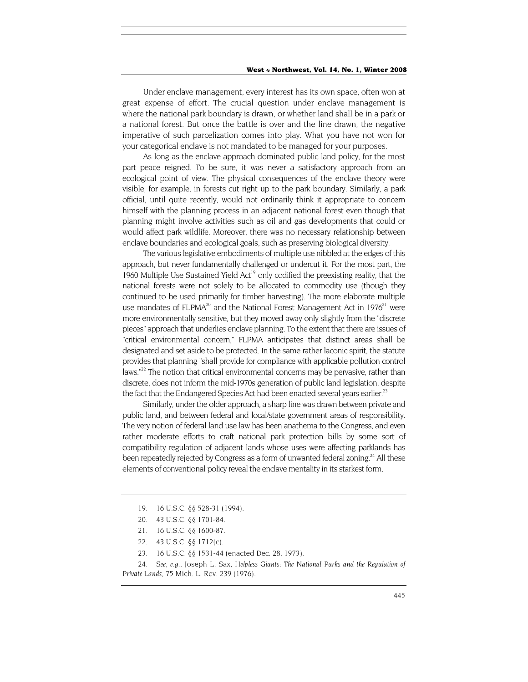Under enclave management, every interest has its own space, often won at great expense of effort. The crucial question under enclave management is where the national park boundary is drawn, or whether land shall be in a park or a national forest. But once the battle is over and the line drawn, the negative imperative of such parcelization comes into play. What you have not won for your categorical enclave is not mandated to be managed for your purposes.

As long as the enclave approach dominated public land policy, for the most part peace reigned. To be sure, it was never a satisfactory approach from an ecological point of view. The physical consequences of the enclave theory were visible, for example, in forests cut right up to the park boundary. Similarly, a park official, until quite recently, would not ordinarily think it appropriate to concern himself with the planning process in an adjacent national forest even though that planning might involve activities such as oil and gas developments that could or would affect park wildlife. Moreover, there was no necessary relationship between enclave boundaries and ecological goals, such as preserving biological diversity.

The various legislative embodiments of multiple use nibbled at the edges of this approach, but never fundamentally challenged or undercut it. For the most part, the 1960 Multiple Use Sustained Yield Act<sup>19</sup> only codified the preexisting reality, that the national forests were not solely to be allocated to commodity use (though they continued to be used primarily for timber harvesting). The more elaborate multiple use mandates of FLPMA<sup>20</sup> and the National Forest Management Act in  $1976<sup>21</sup>$  were more environmentally sensitive, but they moved away only slightly from the "discrete pieces" approach that underlies enclave planning. To the extent that there are issues of "critical environmental concern," FLPMA anticipates that distinct areas shall be designated and set aside to be protected. In the same rather laconic spirit, the statute provides that planning "shall provide for compliance with applicable pollution control laws."<sup>22</sup> The notion that critical environmental concerns may be pervasive, rather than discrete, does not inform the mid-1970s generation of public land legislation, despite the fact that the Endangered Species Act had been enacted several years earlier.<sup>23</sup>

Similarly, under the older approach, a sharp line was drawn between private and public land, and between federal and local/state government areas of responsibility. The very notion of federal land use law has been anathema to the Congress, and even rather moderate efforts to craft national park protection bills by some sort of compatibility regulation of adjacent lands whose uses were affecting parklands has been repeatedly rejected by Congress as a form of unwanted federal zoning.<sup>24</sup> All these elements of conventional policy reveal the enclave mentality in its starkest form.

23. 16 U.S.C. §§ 1531-44 (enacted Dec. 28, 1973).

<span id="page-5-0"></span><sup>19. 16</sup> U.S.C. §§ 528-31 (1994).

<span id="page-5-1"></span><sup>20. 43</sup> U.S.C. §§ 1701-84.

<span id="page-5-2"></span><sup>21. 16</sup> U.S.C. §§ 1600-87.

<span id="page-5-3"></span><sup>22. 43</sup> U.S.C. §§ 1712(c).

<span id="page-5-5"></span><span id="page-5-4"></span><sup>24</sup>*. See, e.g.,* Joseph L. Sax, *Helpless Giants: The National Parks and the Regulation of Private Lands*, 75 Mich. L. Rev. 239 (1976).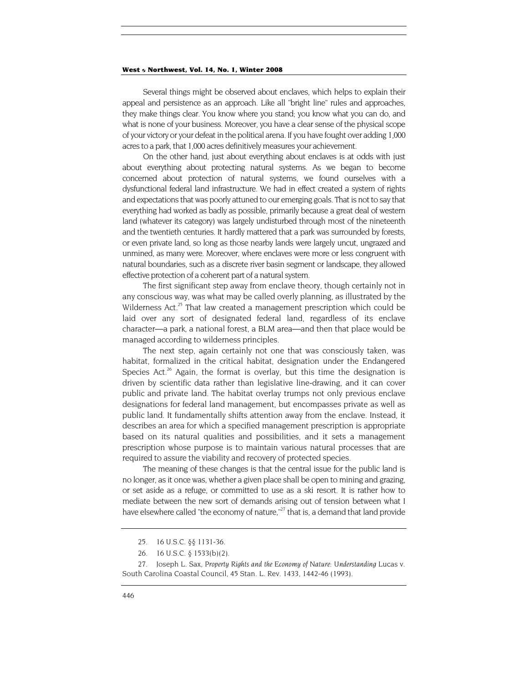Several things might be observed about enclaves, which helps to explain their appeal and persistence as an approach. Like all "bright line" rules and approaches, they make things clear. You know where you stand; you know what you can do, and what is none of your business. Moreover, you have a clear sense of the physical scope of your victory or your defeat in the political arena. If you have fought over adding 1,000 acres to a park, that 1,000 acres definitively measures your achievement.

On the other hand, just about everything about enclaves is at odds with just about everything about protecting natural systems. As we began to become concerned about protection of natural systems, we found ourselves with a dysfunctional federal land infrastructure. We had in effect created a system of rights and expectations that was poorly attuned to our emerging goals. That is not to say that everything had worked as badly as possible, primarily because a great deal of western land (whatever its category) was largely undisturbed through most of the nineteenth and the twentieth centuries. It hardly mattered that a park was surrounded by forests, or even private land, so long as those nearby lands were largely uncut, ungrazed and unmined, as many were. Moreover, where enclaves were more or less congruent with natural boundaries, such as a discrete river basin segment or landscape, they allowed effective protection of a coherent part of a natural system.

The first significant step away from enclave theory, though certainly not in any conscious way, was what may be called overly planning, as illustrated by the Wilderness Act. $25$  That law created a management prescription which could be laid over any sort of designated federal land, regardless of its enclave character—a park, a national forest, a BLM area—and then that place would be managed according to wilderness principles.

The next step, again certainly not one that was consciously taken, was habitat, formalized in the critical habitat, designation under the Endangered Species Act.<sup>26</sup> Again, the format is overlay, but this time the designation is driven by scientific data rather than legislative line-drawing, and it can cover public and private land. The habitat overlay trumps not only previous enclave designations for federal land management, but encompasses private as well as public land. It fundamentally shifts attention away from the enclave. Instead, it describes an area for which a specified management prescription is appropriate based on its natural qualities and possibilities, and it sets a management prescription whose purpose is to maintain various natural processes that are required to assure the viability and recovery of protected species.

The meaning of these changes is that the central issue for the public land is no longer, as it once was, whether a given place shall be open to mining and grazing, or set aside as a refuge, or committed to use as a ski resort. It is rather how to mediate between the new sort of demands arising out of tension between what I have elsewhere called "the economy of nature,"<sup>27</sup> that is, a demand that land provide

<span id="page-6-0"></span><sup>25. 16</sup> U.S.C. §§ 1131-36.

<sup>26. 16</sup> U.S.C. § 1533(b)(2).

<span id="page-6-2"></span><span id="page-6-1"></span><sup>27.</sup> Joseph L. Sax, *Property Rights and the Economy of Nature: Understanding* Lucas v. South Carolina Coastal Council, 45 Stan. L. Rev. 1433, 1442-46 (1993).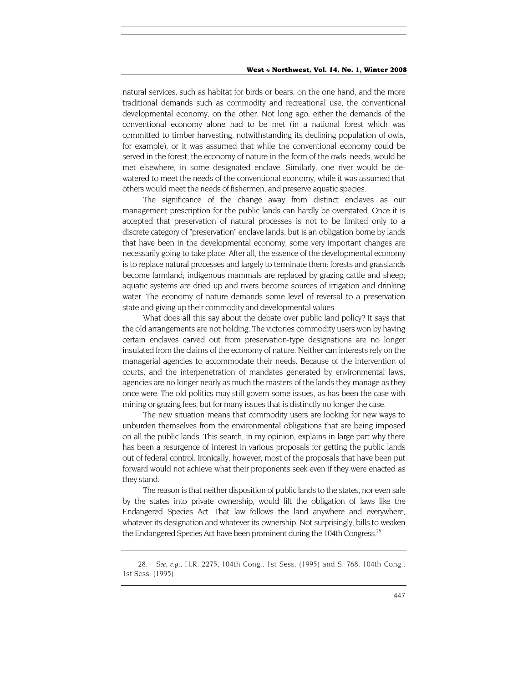natural services, such as habitat for birds or bears, on the one hand, and the more traditional demands such as commodity and recreational use, the conventional developmental economy, on the other. Not long ago, either the demands of the conventional economy alone had to be met (in a national forest which was committed to timber harvesting, notwithstanding its declining population of owls, for example), or it was assumed that while the conventional economy could be served in the forest, the economy of nature in the form of the owls' needs, would be met elsewhere, in some designated enclave. Similarly, one river would be dewatered to meet the needs of the conventional economy, while it was assumed that others would meet the needs of fishermen, and preserve aquatic species.

The significance of the change away from distinct enclaves as our management prescription for the public lands can hardly be overstated. Once it is accepted that preservation of natural processes is not to be limited only to a discrete category of "preservation" enclave lands, but is an obligation borne by lands that have been in the developmental economy, some very important changes are necessarily going to take place. After all, the essence of the developmental economy is to replace natural processes and largely to terminate them: forests and grasslands become farmland; indigenous mammals are replaced by grazing cattle and sheep; aquatic systems are dried up and rivers become sources of irrigation and drinking water. The economy of nature demands some level of reversal to a preservation state and giving up their commodity and developmental values.

What does all this say about the debate over public land policy? It says that the old arrangements are not holding. The victories commodity users won by having certain enclaves carved out from preservation-type designations are no longer insulated from the claims of the economy of nature. Neither can interests rely on the managerial agencies to accommodate their needs. Because of the intervention of courts, and the interpenetration of mandates generated by environmental laws, agencies are no longer nearly as much the masters of the lands they manage as they once were. The old politics may still govern some issues, as has been the case with mining or grazing fees, but for many issues that is distinctly no longer the case.

The new situation means that commodity users are looking for new ways to unburden themselves from the environmental obligations that are being imposed on all the public lands. This search, in my opinion, explains in large part why there has been a resurgence of interest in various proposals for getting the public lands out of federal control. Ironically, however, most of the proposals that have been put forward would not achieve what their proponents seek even if they were enacted as they stand.

The reason is that neither disposition of public lands to the states, nor even sale by the states into private ownership, would lift the obligation of laws like the Endangered Species Act. That law follows the land anywhere and everywhere, whatever its designation and whatever its ownership. Not surprisingly, bills to weaken the Endangered Species Act have been prominent during the 104th Congress.<sup>28</sup>

<span id="page-7-0"></span><sup>28</sup>*. See, e.g.,* H.R. 2275, 104th Cong., 1st Sess. (1995) and S. 768, 104th Cong., 1st Sess. (1995).